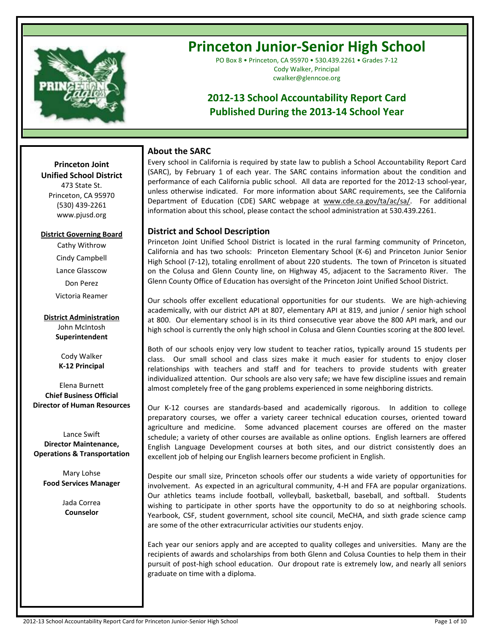

# **Princeton Junior-Senior High School**

PO Box 8 • Princeton, CA 95970 • 530.439.2261 • Grades 7-12 Cody Walker, Principal cwalker@glenncoe.org

# **2012-13 School Accountability Report Card Published During the 2013-14 School Year**

# **About the SARC**

Every school in California is required by state law to publish a School Accountability Report Card (SARC), by February 1 of each year. The SARC contains information about the condition and performance of each California public school. All data are reported for the 2012-13 school-year, unless otherwise indicated. For more information about SARC requirements, see the California Department of Education (CDE) SARC webpage at www.cde.ca.gov/ta/ac/sa/. For additional information about this school, please contact the school administration at 530.439.2261.

# **District and School Description**

Princeton Joint Unified School District is located in the rural farming community of Princeton, California and has two schools: Princeton Elementary School (K-6) and Princeton Junior Senior High School (7-12), totaling enrollment of about 220 students. The town of Princeton is situated on the Colusa and Glenn County line, on Highway 45, adjacent to the Sacramento River. The Glenn County Office of Education has oversight of the Princeton Joint Unified School District.

Our schools offer excellent educational opportunities for our students. We are high-achieving academically, with our district API at 807, elementary API at 819, and junior / senior high school at 800. Our elementary school is in its third consecutive year above the 800 API mark, and our high school is currently the only high school in Colusa and Glenn Counties scoring at the 800 level.

Both of our schools enjoy very low student to teacher ratios, typically around 15 students per class. Our small school and class sizes make it much easier for students to enjoy closer relationships with teachers and staff and for teachers to provide students with greater individualized attention. Our schools are also very safe; we have few discipline issues and remain almost completely free of the gang problems experienced in some neighboring districts.

Our K-12 courses are standards-based and academically rigorous. In addition to college preparatory courses, we offer a variety career technical education courses, oriented toward agriculture and medicine. Some advanced placement courses are offered on the master schedule; a variety of other courses are available as online options. English learners are offered English Language Development courses at both sites, and our district consistently does an excellent job of helping our English learners become proficient in English.

Despite our small size, Princeton schools offer our students a wide variety of opportunities for involvement. As expected in an agricultural community, 4-H and FFA are popular organizations. Our athletics teams include football, volleyball, basketball, baseball, and softball. Students wishing to participate in other sports have the opportunity to do so at neighboring schools. Yearbook, CSF, student government, school site council, MeCHA, and sixth grade science camp are some of the other extracurricular activities our students enjoy.

Each year our seniors apply and are accepted to quality colleges and universities. Many are the recipients of awards and scholarships from both Glenn and Colusa Counties to help them in their pursuit of post-high school education. Our dropout rate is extremely low, and nearly all seniors graduate on time with a diploma.

#### **Princeton Joint Unified School District**

**--**

473 State St. Princeton, CA 95970 (530) 439-2261 www.pjusd.org

### **District Governing Board**

Cathy Withrow Cindy Campbell Lance Glasscow Don Perez Victoria Reamer

**District Administration** John McIntosh **Superintendent**

> Cody Walker **K-12 Principal**

Elena Burnett **Chief Business Official Director of Human Resources**

Lance Swift **Director Maintenance, Operations & Transportation**

Mary Lohse **Food Services Manager**

> Jada Correa **Counselor**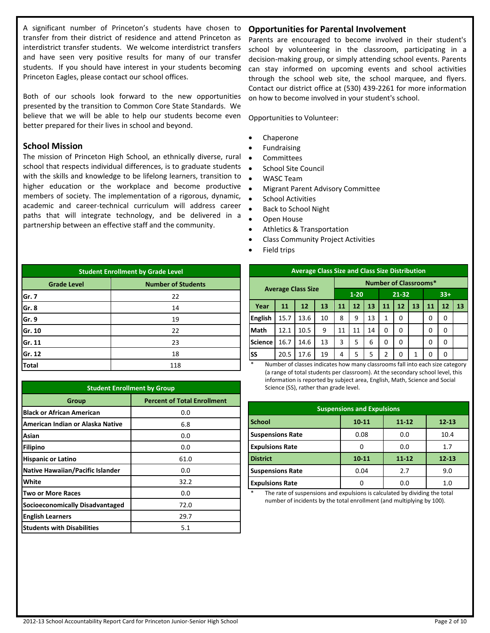A significant number of Princeton's students have chosen to transfer from their district of residence and attend Princeton as interdistrict transfer students. We welcome interdistrict transfers and have seen very positive results for many of our transfer students. If you should have interest in your students becoming Princeton Eagles, please contact our school offices.

Both of our schools look forward to the new opportunities presented by the transition to Common Core State Standards. We believe that we will be able to help our students become even better prepared for their lives in school and beyond.

## **School Mission**

The mission of Princeton High School, an ethnically diverse, rural school that respects individual differences, is to graduate students with the skills and knowledge to be lifelong learners, transition to higher education or the workplace and become productive members of society. The implementation of a rigorous, dynamic, academic and career-technical curriculum will address career paths that will integrate technology, and be delivered in a partnership between an effective staff and the community.

| <b>Student Enrollment by Grade Level</b>        |     |  |  |  |  |
|-------------------------------------------------|-----|--|--|--|--|
| <b>Number of Students</b><br><b>Grade Level</b> |     |  |  |  |  |
| Gr. 7                                           | 22  |  |  |  |  |
| Gr. 8                                           | 14  |  |  |  |  |
| Gr. 9                                           | 19  |  |  |  |  |
| Gr. 10                                          | 22  |  |  |  |  |
| Gr. 11                                          | 23  |  |  |  |  |
| Gr. 12                                          | 18  |  |  |  |  |
| <b>Total</b>                                    | 118 |  |  |  |  |

| <b>Student Enrollment by Group</b>     |                                    |  |  |  |
|----------------------------------------|------------------------------------|--|--|--|
| Group                                  | <b>Percent of Total Enrollment</b> |  |  |  |
| <b>Black or African American</b>       | 0.0                                |  |  |  |
| American Indian or Alaska Native       | 6.8                                |  |  |  |
| Asian                                  | 0.0                                |  |  |  |
| <b>Filipino</b>                        | 0.0                                |  |  |  |
| <b>Hispanic or Latino</b>              | 61.0                               |  |  |  |
| Native Hawaiian/Pacific Islander       | 0.0                                |  |  |  |
| White                                  | 32.2                               |  |  |  |
| Two or More Races                      | 0.0                                |  |  |  |
| <b>Socioeconomically Disadvantaged</b> | 72.0                               |  |  |  |
| <b>English Learners</b>                | 29.7                               |  |  |  |
| <b>Students with Disabilities</b>      | 5.1                                |  |  |  |

# **Opportunities for Parental Involvement**

Parents are encouraged to become involved in their student's school by volunteering in the classroom, participating in a decision-making group, or simply attending school events. Parents can stay informed on upcoming events and school activities through the school web site, the school marquee, and flyers. Contact our district office at (530) 439-2261 for more information on how to become involved in your student's school.

Opportunities to Volunteer:

- Chaperone
- Fundraising
- **•** Committees
- School Site Council
- WASC Team
- Migrant Parent Advisory Committee
- **•** School Activities
- Back to School Night
- Open House
- Athletics & Transportation
- Class Community Project Activities
- Field trips

|                | <b>Average Class Size and Class Size Distribution</b> |                           |    |    |          |    |    |           |    |    |       |    |
|----------------|-------------------------------------------------------|---------------------------|----|----|----------|----|----|-----------|----|----|-------|----|
|                | <b>Number of Classrooms*</b>                          |                           |    |    |          |    |    |           |    |    |       |    |
|                |                                                       | <b>Average Class Size</b> |    |    | $1 - 20$ |    |    | $21 - 32$ |    |    | $33+$ |    |
| Year           | 11                                                    | 12                        | 13 | 11 | 12       | 13 | 11 | 12        | 13 | 11 | 12    | 13 |
| <b>English</b> | 15.7                                                  | 13.6                      | 10 | 8  | 9        | 13 | 1  | 0         |    | 0  | 0     |    |
| Math           | 12.1                                                  | 10.5                      | 9  | 11 | 11       | 14 | 0  | 0         |    | 0  | 0     |    |
| <b>Science</b> | 16.7                                                  | 14.6                      | 13 | 3  | 5        | 6  | 0  | $\Omega$  |    | O  | 0     |    |
| <b>SS</b>      | 20.5                                                  | 17.6                      | 19 | 4  | 5        | 5  | 2  | O         | 1  | O  | 0     |    |

Number of classes indicates how many classrooms fall into each size category (a range of total students per classroom). At the secondary school level, this information is reported by subject area, English, Math, Science and Social Science (SS), rather than grade level.

| <b>Suspensions and Expulsions</b> |           |           |           |  |
|-----------------------------------|-----------|-----------|-----------|--|
| <b>School</b>                     | $10 - 11$ | $11 - 12$ | $12 - 13$ |  |
| <b>Suspensions Rate</b>           | 0.08      | 0.0       | 10.4      |  |
| <b>Expulsions Rate</b>            | 0         | 0.0       | 1.7       |  |
| <b>District</b>                   | $10 - 11$ | $11 - 12$ | $12 - 13$ |  |
| <b>Suspensions Rate</b>           | 0.04      | 2.7       | 9.0       |  |
| <b>Expulsions Rate</b>            | ი         | 0.0       | 1.0       |  |

The rate of suspensions and expulsions is calculated by dividing the total number of incidents by the total enrollment (and multiplying by 100).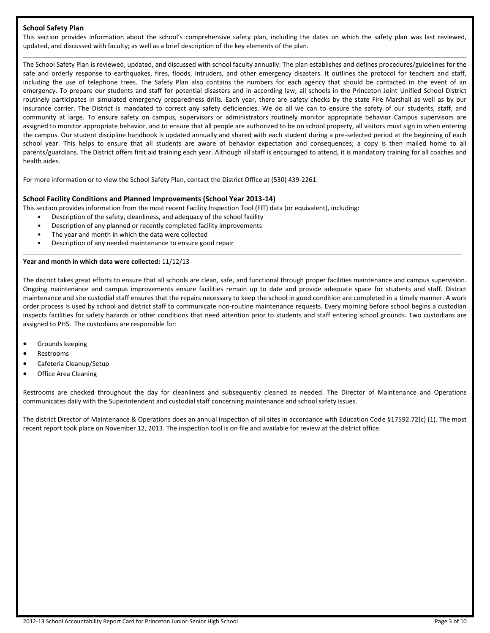#### **School Safety Plan**

This section provides information about the school's comprehensive safety plan, including the dates on which the safety plan was last reviewed, updated, and discussed with faculty; as well as a brief description of the key elements of the plan.

The School Safety Plan is reviewed, updated, and discussed with school faculty annually. The plan establishes and defines procedures/guidelines for the safe and orderly response to earthquakes, fires, floods, intruders, and other emergency disasters. It outlines the protocol for teachers and staff, including the use of telephone trees. The Safety Plan also contains the numbers for each agency that should be contacted in the event of an emergency. To prepare our students and staff for potential disasters and in according law, all schools in the Princeton Joint Unified School District routinely participates in simulated emergency preparedness drills. Each year, there are safety checks by the state Fire Marshall as well as by our insurance carrier. The District is mandated to correct any safety deficiencies. We do all we can to ensure the safety of our students, staff, and community at large. To ensure safety on campus, supervisors or administrators routinely monitor appropriate behavior Campus supervisors are assigned to monitor appropriate behavior, and to ensure that all people are authorized to be on school property, all visitors must sign in when entering the campus. Our student discipline handbook is updated annually and shared with each student during a pre-selected period at the beginning of each school year. This helps to ensure that all students are aware of behavior expectation and consequences; a copy is then mailed home to all parents/guardians. The District offers first aid training each year. Although all staff is encouraged to attend, it is mandatory training for all coaches and health aides.

For more information or to view the School Safety Plan, contact the District Office at (530) 439-2261.

#### **School Facility Conditions and Planned Improvements (School Year 2013-14)**

This section provides information from the most recent Facility Inspection Tool (FIT) data (or equivalent), including:

- Description of the safety, cleanliness, and adequacy of the school facility
- Description of any planned or recently completed facility improvements
- The year and month in which the data were collected
- Description of any needed maintenance to ensure good repair

#### **Year and month in which data were collected:** 11/12/13

The district takes great efforts to ensure that all schools are clean, safe, and functional through proper facilities maintenance and campus supervision. Ongoing maintenance and campus improvements ensure facilities remain up to date and provide adequate space for students and staff. District maintenance and site custodial staff ensures that the repairs necessary to keep the school in good condition are completed in a timely manner. A work order process is used by school and district staff to communicate non-routine maintenance requests. Every morning before school begins a custodian inspects facilities for safety hazards or other conditions that need attention prior to students and staff entering school grounds. Two custodians are assigned to PHS. The custodians are responsible for:

- Grounds keeping
- Restrooms
- Cafeteria Cleanup/Setup
- Office Area Cleaning

Restrooms are checked throughout the day for cleanliness and subsequently cleaned as needed. The Director of Maintenance and Operations communicates daily with the Superintendent and custodial staff concerning maintenance and school safety issues.

The district Director of Maintenance & Operations does an annual inspection of all sites in accordance with Education Code §17592.72(c) (1). The most recent report took place on November 12, 2013. The inspection tool is on file and available for review at the district office.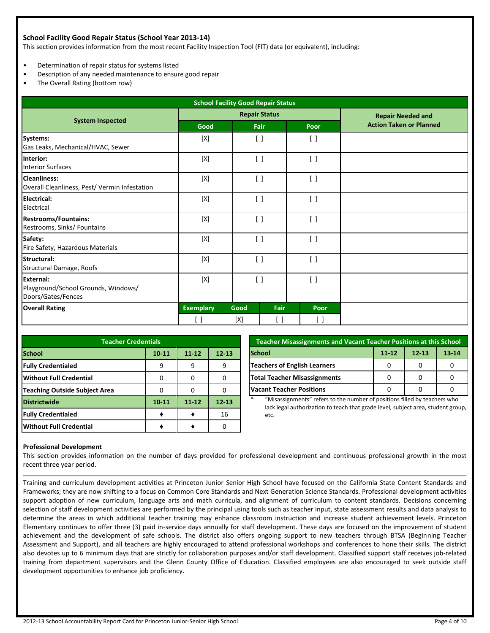#### **School Facility Good Repair Status (School Year 2013-14)**

This section provides information from the most recent Facility Inspection Tool (FIT) data (or equivalent), including:

- Determination of repair status for systems listed
- Description of any needed maintenance to ensure good repair
- The Overall Rating (bottom row)

| <b>School Facility Good Repair Status</b>                                     |                      |      |                                               |                                 |                                |
|-------------------------------------------------------------------------------|----------------------|------|-----------------------------------------------|---------------------------------|--------------------------------|
|                                                                               | <b>Repair Status</b> |      |                                               |                                 | <b>Repair Needed and</b>       |
| <b>System Inspected</b>                                                       | Good                 |      | Fair                                          | Poor                            | <b>Action Taken or Planned</b> |
| Systems:<br>Gas Leaks, Mechanical/HVAC, Sewer                                 | [X]                  |      | $\lceil$ $\rceil$                             | $\lceil$ $\rceil$               |                                |
| Interior:<br><b>Interior Surfaces</b>                                         | [X]                  |      | $\left[ \quad \right]$                        | $\lceil$ $\rceil$               |                                |
| <b>Cleanliness:</b><br>Overall Cleanliness, Pest/ Vermin Infestation          | $[{\sf X}]$          |      | $\begin{bmatrix} \end{bmatrix}$               | $\lceil$ $\rceil$               |                                |
| <b>Electrical:</b><br>Electrical                                              | [X]                  |      | $\left[ \begin{array}{c} \end{array} \right]$ | $\lceil$ $\rceil$               |                                |
| <b>Restrooms/Fountains:</b><br>Restrooms, Sinks/ Fountains                    | [X]                  |      | $\left[ \ \right]$                            | $\lceil$                        |                                |
| Safety:<br>Fire Safety, Hazardous Materials                                   | [X]                  |      | $\left[ \ \right]$                            | $\lceil$                        |                                |
| Structural:<br><b>Structural Damage, Roofs</b>                                | $[{\sf X}]$          |      | $\left[ \ \right]$                            | $\lceil$                        |                                |
| <b>External:</b><br>Playground/School Grounds, Windows/<br>Doors/Gates/Fences | [X]                  |      | $\left[ \ \right]$                            | $\lceil$                        |                                |
| <b>Overall Rating</b>                                                         | <b>Exemplary</b>     | Good | Fair                                          | Poor                            |                                |
|                                                                               | $[\ ]$               | [X]  | $[\,\,]$                                      | $\begin{bmatrix} \end{bmatrix}$ |                                |

| <b>Teacher Credentials</b>                           |           |           |           |  |  |  |  |
|------------------------------------------------------|-----------|-----------|-----------|--|--|--|--|
| <b>School</b><br>$11 - 12$<br>$10 - 11$<br>$12 - 13$ |           |           |           |  |  |  |  |
| <b>Fully Credentialed</b>                            |           |           | 9         |  |  |  |  |
| <b>Without Full Credential</b>                       |           |           |           |  |  |  |  |
| <b>Teaching Outside Subject Area</b>                 |           |           |           |  |  |  |  |
| <b>Districtwide</b>                                  | $10 - 11$ | $11 - 12$ | $12 - 13$ |  |  |  |  |
| <b>Fully Credentialed</b>                            |           |           | 16        |  |  |  |  |
| <b>Without Full Credential</b>                       |           |           |           |  |  |  |  |

| <b>Teacher Misassignments and Vacant Teacher Positions at this School</b> |  |  |  |  |  |  |
|---------------------------------------------------------------------------|--|--|--|--|--|--|
| <b>School</b><br>$11 - 12$<br>$12 - 13$<br>$13 - 14$                      |  |  |  |  |  |  |
| Teachers of English Learners                                              |  |  |  |  |  |  |
| <b>Total Teacher Misassignments</b>                                       |  |  |  |  |  |  |
| <b>Vacant Teacher Positions</b>                                           |  |  |  |  |  |  |

\* "Misassignments" refers to the number of positions filled by teachers who lack legal authorization to teach that grade level, subject area, student group, etc.

#### **Professional Development**

This section provides information on the number of days provided for professional development and continuous professional growth in the most recent three year period.

Training and curriculum development activities at Princeton Junior Senior High School have focused on the California State Content Standards and Frameworks; they are now shifting to a focus on Common Core Standards and Next Generation Science Standards. Professional development activities support adoption of new curriculum, language arts and math curricula, and alignment of curriculum to content standards. Decisions concerning selection of staff development activities are performed by the principal using tools such as teacher input, state assessment results and data analysis to determine the areas in which additional teacher training may enhance classroom instruction and increase student achievement levels. Princeton Elementary continues to offer three (3) paid in-service days annually for staff development. These days are focused on the improvement of student achievement and the development of safe schools. The district also offers ongoing support to new teachers through BTSA (Beginning Teacher Assessment and Support), and all teachers are highly encouraged to attend professional workshops and conferences to hone their skills. The district also devotes up to 6 minimum days that are strictly for collaboration purposes and/or staff development. Classified support staff receives job-related training from department supervisors and the Glenn County Office of Education. Classified employees are also encouraged to seek outside staff development opportunities to enhance job proficiency.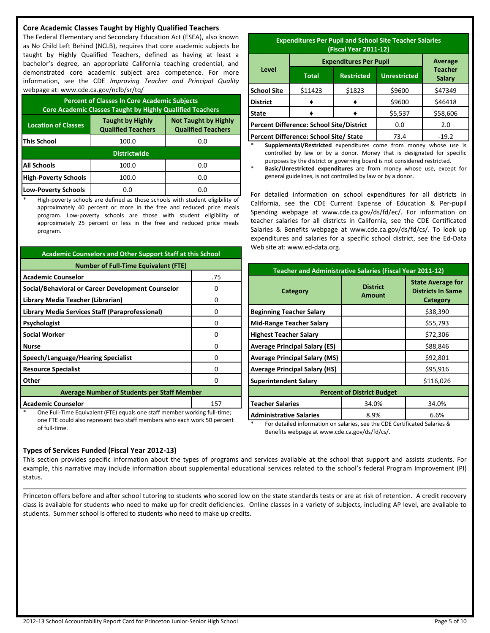#### **Core Academic Classes Taught by Highly Qualified Teachers**

The Federal Elementary and Secondary Education Act (ESEA), also known as No Child Left Behind (NCLB), requires that core academic subjects be taught by Highly Qualified Teachers, defined as having at least a bachelor's degree, an appropriate California teaching credential, and demonstrated core academic subject area competence. For more information, see the CDE *Improving Teacher and Principal Quality* webpage at: www.cde.ca.gov/nclb/sr/tq/

| <b>Percent of Classes In Core Academic Subjects</b><br><b>Core Academic Classes Taught by Highly Qualified Teachers</b> |                                                      |                                                          |  |  |  |
|-------------------------------------------------------------------------------------------------------------------------|------------------------------------------------------|----------------------------------------------------------|--|--|--|
| <b>Location of Classes</b>                                                                                              | <b>Taught by Highly</b><br><b>Qualified Teachers</b> | <b>Not Taught by Highly</b><br><b>Qualified Teachers</b> |  |  |  |
| <b>This School</b>                                                                                                      | 100.0                                                | 0.0                                                      |  |  |  |
| <b>Districtwide</b>                                                                                                     |                                                      |                                                          |  |  |  |
| <b>All Schools</b>                                                                                                      | 100.0                                                | 0.0                                                      |  |  |  |
| <b>High-Poverty Schools</b>                                                                                             | 100.0                                                | 0.0                                                      |  |  |  |
| <b>Low-Poverty Schools</b>                                                                                              | 0.O                                                  | 0.O                                                      |  |  |  |

High-poverty schools are defined as those schools with student eligibility of approximately 40 percent or more in the free and reduced price meals program. Low-poverty schools are those with student eligibility of approximately 25 percent or less in the free and reduced price meals program.

| <b>Academic Counselors and Other Support Staff at this School</b>         |     |  |  |  |
|---------------------------------------------------------------------------|-----|--|--|--|
| <b>Number of Full-Time Equivalent (FTE)</b>                               |     |  |  |  |
| <b>Academic Counselor</b>                                                 | .75 |  |  |  |
| Social/Behavioral or Career Development Counselor                         | o   |  |  |  |
| Library Media Teacher (Librarian)                                         | Ω   |  |  |  |
| Library Media Services Staff (Paraprofessional)                           | o   |  |  |  |
| Psychologist                                                              | O   |  |  |  |
| <b>Social Worker</b>                                                      | ŋ   |  |  |  |
| <b>Nurse</b>                                                              | Ω   |  |  |  |
| Speech/Language/Hearing Specialist                                        | ŋ   |  |  |  |
| <b>Resource Specialist</b>                                                | o   |  |  |  |
| Other                                                                     | ŋ   |  |  |  |
| <b>Average Number of Students per Staff Member</b>                        |     |  |  |  |
| <b>Academic Counselor</b><br>157                                          |     |  |  |  |
| One Full-Time Equivalent (FTE) equals one staff member working full-time; |     |  |  |  |

one FTE could also represent two staff members who each work 50 percent of full-time.

| <b>Expenditures Per Pupil and School Site Teacher Salaries</b><br>(Fiscal Year 2011-12) |                                          |                   |                     |                          |  |
|-----------------------------------------------------------------------------------------|------------------------------------------|-------------------|---------------------|--------------------------|--|
|                                                                                         | <b>Expenditures Per Pupil</b><br>Average |                   |                     |                          |  |
| Level                                                                                   | <b>Total</b>                             | <b>Restricted</b> | <b>Unrestricted</b> | <b>Teacher</b><br>Salary |  |

|                                                 | Total   | Restricted | Unrestricted | <b>Salary</b> |
|-------------------------------------------------|---------|------------|--------------|---------------|
| <b>School Site</b>                              | \$11423 | \$1823     | \$9600       | \$47349       |
| <b>District</b>                                 |         |            | \$9600       | \$46418       |
| <b>State</b>                                    |         |            | \$5,537      | \$58,606      |
| <b>Percent Difference: School Site/District</b> |         | 0.0        | 2.0          |               |
| Percent Difference: School Site/ State          |         |            | 73.4         | $-19.2$       |

Supplemental/Restricted expenditures come from money whose use is controlled by law or by a donor. Money that is designated for specific purposes by the district or governing board is not considered restricted.

Basic/Unrestricted expenditures are from money whose use, except for general guidelines, is not controlled by law or by a donor.

For detailed information on school expenditures for all districts in California, see the CDE Current Expense of Education & Per-pupil Spending webpage at www.cde.ca.gov/ds/fd/ec/. For information on teacher salaries for all districts in California, see the CDE Certificated Salaries & Benefits webpage at www.cde.ca.gov/ds/fd/cs/. To look up expenditures and salaries for a specific school district, see the Ed-Data Web site at: www.ed-data.org.

| <b>Teacher and Administrative Salaries (Fiscal Year 2011-12)</b> |                                  |                                                                  |  |  |  |
|------------------------------------------------------------------|----------------------------------|------------------------------------------------------------------|--|--|--|
| Category                                                         | <b>District</b><br><b>Amount</b> | <b>State Average for</b><br><b>Districts In Same</b><br>Category |  |  |  |
| <b>Beginning Teacher Salary</b>                                  |                                  | \$38,390                                                         |  |  |  |
| <b>Mid-Range Teacher Salary</b>                                  |                                  | \$55,793                                                         |  |  |  |
| <b>Highest Teacher Salary</b>                                    |                                  | \$72,306                                                         |  |  |  |
| <b>Average Principal Salary (ES)</b>                             |                                  | \$88,846                                                         |  |  |  |
| <b>Average Principal Salary (MS)</b>                             |                                  | \$92,801                                                         |  |  |  |
| <b>Average Principal Salary (HS)</b>                             |                                  | \$95,916                                                         |  |  |  |
| <b>Superintendent Salary</b>                                     |                                  | \$116,026                                                        |  |  |  |
| <b>Percent of District Budget</b>                                |                                  |                                                                  |  |  |  |
| <b>Teacher Salaries</b>                                          | 34.0%                            | 34.0%                                                            |  |  |  |
| <b>Administrative Salaries</b>                                   | 8.9%                             | 6.6%                                                             |  |  |  |

\* For detailed information on salaries, see the CDE Certificated Salaries & Benefits webpage at www.cde.ca.gov/ds/fd/cs/.

#### **Types of Services Funded (Fiscal Year 2012-13)**

This section provides specific information about the types of programs and services available at the school that support and assists students. For example, this narrative may include information about supplemental educational services related to the school's federal Program Improvement (PI) status.

Princeton offers before and after school tutoring to students who scored low on the state standards tests or are at risk of retention. A credit recovery class is available for students who need to make up for credit deficiencies. Online classes in a variety of subjects, including AP level, are available to students. Summer school is offered to students who need to make up credits.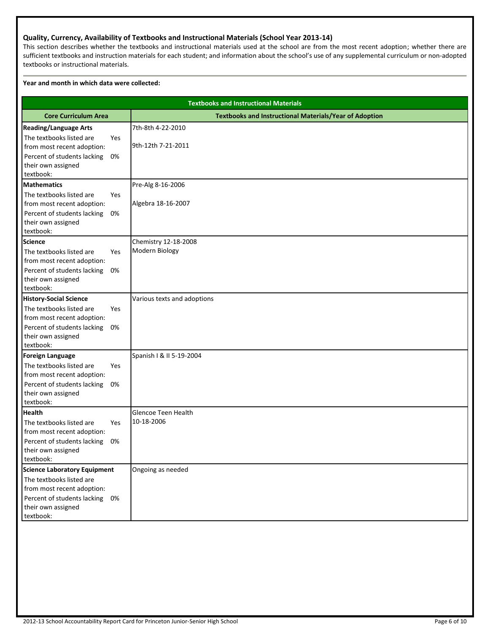#### **Quality, Currency, Availability of Textbooks and Instructional Materials (School Year 2013-14)**

This section describes whether the textbooks and instructional materials used at the school are from the most recent adoption; whether there are sufficient textbooks and instruction materials for each student; and information about the school's use of any supplemental curriculum or non-adopted textbooks or instructional materials.

#### **Year and month in which data were collected:**

|                                                               | <b>Textbooks and Instructional Materials</b>                  |  |  |  |  |
|---------------------------------------------------------------|---------------------------------------------------------------|--|--|--|--|
| <b>Core Curriculum Area</b>                                   | <b>Textbooks and Instructional Materials/Year of Adoption</b> |  |  |  |  |
| <b>Reading/Language Arts</b>                                  | 7th-8th 4-22-2010                                             |  |  |  |  |
| The textbooks listed are<br>Yes                               |                                                               |  |  |  |  |
| from most recent adoption:                                    | 9th-12th 7-21-2011                                            |  |  |  |  |
| Percent of students lacking<br>0%                             |                                                               |  |  |  |  |
| their own assigned                                            |                                                               |  |  |  |  |
| textbook:                                                     |                                                               |  |  |  |  |
| <b>Mathematics</b><br>The textbooks listed are<br>Yes         | Pre-Alg 8-16-2006                                             |  |  |  |  |
| from most recent adoption:                                    | Algebra 18-16-2007                                            |  |  |  |  |
| Percent of students lacking<br>0%                             |                                                               |  |  |  |  |
| their own assigned                                            |                                                               |  |  |  |  |
| textbook:                                                     |                                                               |  |  |  |  |
| <b>Science</b>                                                | Chemistry 12-18-2008                                          |  |  |  |  |
| The textbooks listed are<br>Yes                               | Modern Biology                                                |  |  |  |  |
| from most recent adoption:                                    |                                                               |  |  |  |  |
| Percent of students lacking<br>0%                             |                                                               |  |  |  |  |
| their own assigned                                            |                                                               |  |  |  |  |
| textbook:                                                     |                                                               |  |  |  |  |
| <b>History-Social Science</b>                                 | Various texts and adoptions                                   |  |  |  |  |
| The textbooks listed are<br>Yes<br>from most recent adoption: |                                                               |  |  |  |  |
| Percent of students lacking<br>0%                             |                                                               |  |  |  |  |
| their own assigned                                            |                                                               |  |  |  |  |
| textbook:                                                     |                                                               |  |  |  |  |
| <b>Foreign Language</b>                                       | Spanish I & II 5-19-2004                                      |  |  |  |  |
| The textbooks listed are<br>Yes                               |                                                               |  |  |  |  |
| from most recent adoption:                                    |                                                               |  |  |  |  |
| Percent of students lacking<br>0%                             |                                                               |  |  |  |  |
| their own assigned                                            |                                                               |  |  |  |  |
| textbook:<br><b>Health</b>                                    | Glencoe Teen Health                                           |  |  |  |  |
| The textbooks listed are<br>Yes                               | 10-18-2006                                                    |  |  |  |  |
| from most recent adoption:                                    |                                                               |  |  |  |  |
| Percent of students lacking<br>0%                             |                                                               |  |  |  |  |
| their own assigned                                            |                                                               |  |  |  |  |
| textbook:                                                     |                                                               |  |  |  |  |
| <b>Science Laboratory Equipment</b>                           | Ongoing as needed                                             |  |  |  |  |
| The textbooks listed are                                      |                                                               |  |  |  |  |
| from most recent adoption:                                    |                                                               |  |  |  |  |
| Percent of students lacking 0%                                |                                                               |  |  |  |  |
| their own assigned<br>textbook:                               |                                                               |  |  |  |  |
|                                                               |                                                               |  |  |  |  |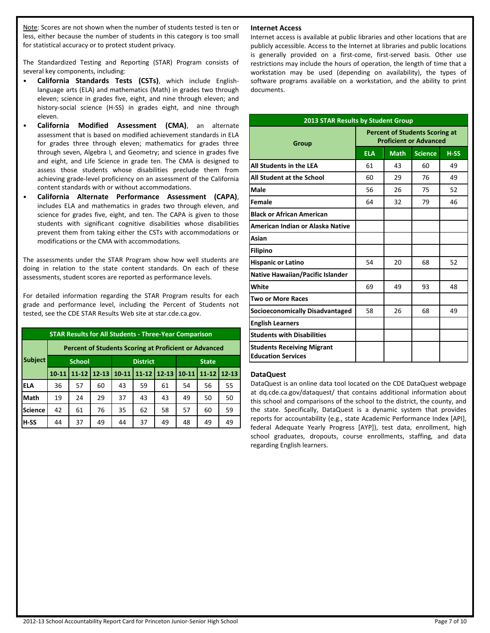Note: Scores are not shown when the number of students tested is ten or less, either because the number of students in this category is too small for statistical accuracy or to protect student privacy.

The Standardized Testing and Reporting (STAR) Program consists of several key components, including:

- **California Standards Tests (CSTs)**, which include Englishlanguage arts (ELA) and mathematics (Math) in grades two through eleven; science in grades five, eight, and nine through eleven; and history-social science (H-SS) in grades eight, and nine through eleven.
- **California Modified Assessment (CMA)**, an alternate assessment that is based on modified achievement standards in ELA for grades three through eleven; mathematics for grades three through seven, Algebra I, and Geometry; and science in grades five and eight, and Life Science in grade ten. The CMA is designed to assess those students whose disabilities preclude them from achieving grade-level proficiency on an assessment of the California content standards with or without accommodations.
- **California Alternate Performance Assessment (CAPA)**, includes ELA and mathematics in grades two through eleven, and science for grades five, eight, and ten. The CAPA is given to those students with significant cognitive disabilities whose disabilities prevent them from taking either the CSTs with accommodations or modifications or the CMA with accommodations.

The assessments under the STAR Program show how well students are doing in relation to the state content standards. On each of these assessments, student scores are reported as performance levels.

For detailed information regarding the STAR Program results for each grade and performance level, including the Percent of Students not tested, see the CDE STAR Results Web site at star.cde.ca.gov.

| <b>STAR Results for All Students - Three-Year Comparison</b> |           |                                                              |           |           |                 |           |           |              |           |  |
|--------------------------------------------------------------|-----------|--------------------------------------------------------------|-----------|-----------|-----------------|-----------|-----------|--------------|-----------|--|
|                                                              |           | <b>Percent of Students Scoring at Proficient or Advanced</b> |           |           |                 |           |           |              |           |  |
| <b>Subject</b>                                               |           | <b>School</b>                                                |           |           | <b>District</b> |           |           | <b>State</b> |           |  |
|                                                              | $10 - 11$ | $11 - 12$                                                    | $12 - 13$ | $10 - 11$ | $11 - 12$       | $12 - 13$ | $10 - 11$ | $11 - 12$    | $12 - 13$ |  |
| <b>ELA</b>                                                   | 36        | 57                                                           | 60        | 43        | 59              | 61        | 54        | 56           | 55        |  |
| Math                                                         | 19        | 24                                                           | 29        | 37        | 43              | 43        | 49        | 50           | 50        |  |
| <b>Science</b>                                               | 42        | 61                                                           | 76        | 35        | 62              | 58        | 57        | 60           | 59        |  |
| $H-SS$                                                       | 44        | 37                                                           | 49        | 44        | 37              | 49        | 48        | 49           | 49        |  |

#### **Internet Access**

Internet access is available at public libraries and other locations that are publicly accessible. Access to the Internet at libraries and public locations is generally provided on a first-come, first-served basis. Other use restrictions may include the hours of operation, the length of time that a workstation may be used (depending on availability), the types of software programs available on a workstation, and the ability to print documents.

| <b>2013 STAR Results by Student Group</b>                      |                                                                        |             |                |        |  |
|----------------------------------------------------------------|------------------------------------------------------------------------|-------------|----------------|--------|--|
| Group                                                          | <b>Percent of Students Scoring at</b><br><b>Proficient or Advanced</b> |             |                |        |  |
|                                                                | <b>ELA</b>                                                             | <b>Math</b> | <b>Science</b> | $H-SS$ |  |
| All Students in the LEA                                        | 61                                                                     | 43          | 60             | 49     |  |
| All Student at the School                                      | 60                                                                     | 29          | 76             | 49     |  |
| Male                                                           | 56                                                                     | 26          | 75             | 52     |  |
| Female                                                         | 64                                                                     | 32          | 79             | 46     |  |
| <b>Black or African American</b>                               |                                                                        |             |                |        |  |
| American Indian or Alaska Native                               |                                                                        |             |                |        |  |
| Asian                                                          |                                                                        |             |                |        |  |
| <b>Filipino</b>                                                |                                                                        |             |                |        |  |
| <b>Hispanic or Latino</b>                                      | 54                                                                     | 20          | 68             | 52     |  |
| Native Hawaiian/Pacific Islander                               |                                                                        |             |                |        |  |
| White                                                          | 69                                                                     | 49          | 93             | 48     |  |
| Two or More Races                                              |                                                                        |             |                |        |  |
| <b>Socioeconomically Disadvantaged</b>                         | 58                                                                     | 26          | 68             | 49     |  |
| <b>English Learners</b>                                        |                                                                        |             |                |        |  |
| <b>Students with Disabilities</b>                              |                                                                        |             |                |        |  |
| <b>Students Receiving Migrant</b><br><b>Education Services</b> |                                                                        |             |                |        |  |

#### **DataQuest**

DataQuest is an online data tool located on the CDE DataQuest webpage at dq.cde.ca.gov/dataquest/ that contains additional information about this school and comparisons of the school to the district, the county, and the state. Specifically, DataQuest is a dynamic system that provides reports for accountability (e.g., state Academic Performance Index [API], federal Adequate Yearly Progress [AYP]), test data, enrollment, high school graduates, dropouts, course enrollments, staffing, and data regarding English learners.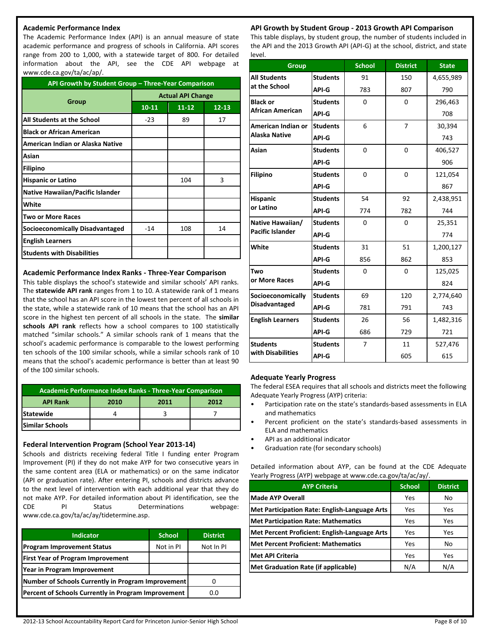#### **Academic Performance Index**

The Academic Performance Index (API) is an annual measure of state academic performance and progress of schools in California. API scores range from 200 to 1,000, with a statewide target of 800. For detailed information about the API, see the CDE API webpage at www.cde.ca.gov/ta/ac/ap/.

| API Growth by Student Group - Three-Year Comparison |                          |           |           |  |
|-----------------------------------------------------|--------------------------|-----------|-----------|--|
|                                                     | <b>Actual API Change</b> |           |           |  |
| Group                                               | $10 - 11$                | $11 - 12$ | $12 - 13$ |  |
| All Students at the School                          | $-23$                    | 89        | 17        |  |
| <b>Black or African American</b>                    |                          |           |           |  |
| American Indian or Alaska Native                    |                          |           |           |  |
| Asian                                               |                          |           |           |  |
| <b>Filipino</b>                                     |                          |           |           |  |
| <b>Hispanic or Latino</b>                           |                          | 104       | 3         |  |
| <b>Native Hawaiian/Pacific Islander</b>             |                          |           |           |  |
| White                                               |                          |           |           |  |
| <b>Two or More Races</b>                            |                          |           |           |  |
| <b>Socioeconomically Disadvantaged</b>              | $-14$                    | 108       | 14        |  |
| <b>English Learners</b>                             |                          |           |           |  |
| <b>Students with Disabilities</b>                   |                          |           |           |  |

#### **Academic Performance Index Ranks - Three-Year Comparison**

This table displays the school's statewide and similar schools' API ranks. The **statewide API rank** ranges from 1 to 10. A statewide rank of 1 means that the school has an API score in the lowest ten percent of all schools in the state, while a statewide rank of 10 means that the school has an API score in the highest ten percent of all schools in the state. The **similar schools API rank** reflects how a school compares to 100 statistically matched "similar schools." A similar schools rank of 1 means that the school's academic performance is comparable to the lowest performing ten schools of the 100 similar schools, while a similar schools rank of 10 means that the school's academic performance is better than at least 90 of the 100 similar schools.

| Academic Performance Index Ranks - Three-Year Comparison |  |  |  |  |  |  |  |
|----------------------------------------------------------|--|--|--|--|--|--|--|
| <b>API Rank</b><br>2010<br>2012<br>2011                  |  |  |  |  |  |  |  |
| <b>Statewide</b>                                         |  |  |  |  |  |  |  |
| lSimilar Schools                                         |  |  |  |  |  |  |  |

#### **Federal Intervention Program (School Year 2013-14)**

Schools and districts receiving federal Title I funding enter Program Improvement (PI) if they do not make AYP for two consecutive years in the same content area (ELA or mathematics) or on the same indicator (API or graduation rate). After entering PI, schools and districts advance to the next level of intervention with each additional year that they do not make AYP. For detailed information about PI identification, see the CDE PI Status Determinations webpage: www.cde.ca.gov/ta/ac/ay/tidetermine.asp.

| <b>Indicator</b>                                    | <b>School</b> | <b>District</b> |
|-----------------------------------------------------|---------------|-----------------|
| <b>Program Improvement Status</b>                   | Not in PI     | Not In PI       |
| <b>First Year of Program Improvement</b>            |               |                 |
| Year in Program Improvement                         |               |                 |
| Number of Schools Currently in Program Improvement  |               |                 |
| Percent of Schools Currently in Program Improvement |               | 0.0             |

#### **API Growth by Student Group - 2013 Growth API Comparison**

This table displays, by student group, the number of students included in the API and the 2013 Growth API (API-G) at the school, district, and state level.

| <b>Group</b>            |                 | <b>School</b> | <b>District</b> | <b>State</b> |
|-------------------------|-----------------|---------------|-----------------|--------------|
| <b>All Students</b>     | <b>Students</b> | 91            | 150             | 4,655,989    |
| at the School           | API-G           | 783           | 807             | 790          |
| <b>Black or</b>         | <b>Students</b> | $\Omega$      | $\Omega$        | 296,463      |
| <b>African American</b> | API-G           |               |                 | 708          |
| American Indian or      | <b>Students</b> | 6             | $\overline{7}$  | 30,394       |
| Alaska Native           | API-G           |               |                 | 743          |
| Asian                   | <b>Students</b> | $\Omega$      | $\Omega$        | 406,527      |
|                         | API-G           |               |                 | 906          |
| <b>Filipino</b>         | <b>Students</b> | $\Omega$      | $\overline{0}$  | 121,054      |
|                         | API-G           |               |                 | 867          |
| <b>Hispanic</b>         | <b>Students</b> | 54            | 92              | 2,438,951    |
| or Latino               | API-G           | 774           | 782             | 744          |
| Native Hawaiian/        | <b>Students</b> | $\Omega$      | $\Omega$        | 25,351       |
| <b>Pacific Islander</b> | API-G           |               |                 | 774          |
| White                   | <b>Students</b> | 31            | 51              | 1,200,127    |
|                         | API-G           | 856           | 862             | 853          |
| Two                     | <b>Students</b> | $\Omega$      | $\Omega$        | 125,025      |
| or More Races           | API-G           |               |                 | 824          |
| Socioeconomically       | <b>Students</b> | 69            | 120             | 2,774,640    |
| <b>Disadvantaged</b>    | API-G           | 781           | 791             | 743          |
| <b>English Learners</b> | <b>Students</b> | 26            | 56              | 1,482,316    |
|                         | API-G           | 686           | 729             | 721          |
| <b>Students</b>         | <b>Students</b> | 7             | 11              | 527,476      |
| with Disabilities       | <b>API-G</b>    |               | 605             | 615          |

#### **Adequate Yearly Progress**

The federal ESEA requires that all schools and districts meet the following Adequate Yearly Progress (AYP) criteria:

- Participation rate on the state's standards-based assessments in ELA and mathematics
- Percent proficient on the state's standards-based assessments in ELA and mathematics
- API as an additional indicator
- Graduation rate (for secondary schools)

Detailed information about AYP, can be found at the CDE Adequate Yearly Progress (AYP) webpage at www.cde.ca.gov/ta/ac/ay/.

| <b>AYP Criteria</b>                           | <b>School</b> | <b>District</b> |
|-----------------------------------------------|---------------|-----------------|
| <b>Made AYP Overall</b>                       | Yes           | No              |
| Met Participation Rate: English-Language Arts | Yes           | Yes             |
| <b>Met Participation Rate: Mathematics</b>    | Yes           | Yes             |
| Met Percent Proficient: English-Language Arts | Yes           | Yes             |
| Met Percent Proficient: Mathematics           | Yes           | No              |
| <b>Met API Criteria</b>                       | Yes           | Yes             |
| Met Graduation Rate (if applicable)           | N/A           | N/A             |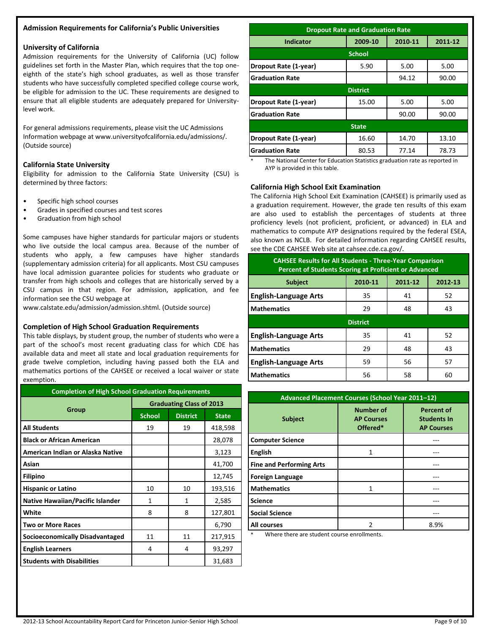#### **Admission Requirements for California's Public Universities**

#### **University of California**

Admission requirements for the University of California (UC) follow guidelines set forth in the Master Plan, which requires that the top oneeighth of the state's high school graduates, as well as those transfer students who have successfully completed specified college course work, be eligible for admission to the UC. These requirements are designed to ensure that all eligible students are adequately prepared for Universitylevel work.

For general admissions requirements, please visit the UC Admissions Information webpage at www.universityofcalifornia.edu/admissions/. (Outside source)

#### **California State University**

Eligibility for admission to the California State University (CSU) is determined by three factors:

- Specific high school courses
- Grades in specified courses and test scores
- Graduation from high school

Some campuses have higher standards for particular majors or students who live outside the local campus area. Because of the number of students who apply, a few campuses have higher standards (supplementary admission criteria) for all applicants. Most CSU campuses have local admission guarantee policies for students who graduate or transfer from high schools and colleges that are historically served by a CSU campus in that region. For admission, application, and fee information see the CSU webpage at

www.calstate.edu/admission/admission.shtml. (Outside source)

#### **Completion of High School Graduation Requirements**

This table displays, by student group, the number of students who were a part of the school's most recent graduating class for which CDE has available data and meet all state and local graduation requirements for grade twelve completion, including having passed both the ELA and mathematics portions of the CAHSEE or received a local waiver or state exemption.

| <b>Completion of High School Graduation Requirements</b> |                                 |                 |              |  |
|----------------------------------------------------------|---------------------------------|-----------------|--------------|--|
|                                                          | <b>Graduating Class of 2013</b> |                 |              |  |
| Group                                                    | <b>School</b>                   | <b>District</b> | <b>State</b> |  |
| <b>All Students</b>                                      | 19                              | 19              | 418,598      |  |
| <b>Black or African American</b>                         |                                 |                 | 28,078       |  |
| American Indian or Alaska Native                         |                                 |                 | 3,123        |  |
| Asian                                                    |                                 |                 | 41,700       |  |
| <b>Filipino</b>                                          |                                 |                 | 12,745       |  |
| <b>Hispanic or Latino</b>                                | 10                              | 10              | 193,516      |  |
| Native Hawaiian/Pacific Islander                         | 1                               | 1               | 2,585        |  |
| White                                                    | 8                               | 8               | 127,801      |  |
| Two or More Races                                        |                                 |                 | 6,790        |  |
| <b>Socioeconomically Disadvantaged</b>                   | 11                              | 11              | 217,915      |  |
| <b>English Learners</b>                                  | 4                               | 4               | 93,297       |  |
| <b>Students with Disabilities</b>                        |                                 |                 | 31,683       |  |

| <b>Dropout Rate and Graduation Rate</b>           |                 |       |       |  |  |
|---------------------------------------------------|-----------------|-------|-------|--|--|
| 2010-11<br>2009-10<br>2011-12<br><b>Indicator</b> |                 |       |       |  |  |
|                                                   | <b>School</b>   |       |       |  |  |
| Dropout Rate (1-year)                             | 5.90            | 5.00  | 5.00  |  |  |
| <b>IGraduation Rate</b>                           |                 | 94.12 | 90.00 |  |  |
|                                                   | <b>District</b> |       |       |  |  |
| Dropout Rate (1-year)                             | 15.00           | 5.00  | 5.00  |  |  |
| <b>IGraduation Rate</b>                           |                 | 90.00 | 90.00 |  |  |
| <b>State</b>                                      |                 |       |       |  |  |
| Dropout Rate (1-year)                             | 16.60           | 14.70 | 13.10 |  |  |
| <b>IGraduation Rate</b>                           | 80.53           | 77.14 | 78.73 |  |  |

The National Center for Education Statistics graduation rate as reported in AYP is provided in this table.

#### **California High School Exit Examination**

The California High School Exit Examination (CAHSEE) is primarily used as a graduation requirement. However, the grade ten results of this exam are also used to establish the percentages of students at three proficiency levels (not proficient, proficient, or advanced) in ELA and mathematics to compute AYP designations required by the federal ESEA, also known as NCLB. For detailed information regarding CAHSEE results, see the CDE CAHSEE Web site at cahsee.cde.ca.gov/.

| <b>CAHSEE Results for All Students - Three-Year Comparison</b><br><b>Percent of Students Scoring at Proficient or Advanced</b> |                               |    |    |  |  |  |  |
|--------------------------------------------------------------------------------------------------------------------------------|-------------------------------|----|----|--|--|--|--|
| <b>Subject</b>                                                                                                                 | 2010-11<br>2011-12<br>2012-13 |    |    |  |  |  |  |
| <b>English-Language Arts</b>                                                                                                   | 35                            | 41 | 52 |  |  |  |  |
| <b>Mathematics</b>                                                                                                             | 29                            | 48 | 43 |  |  |  |  |
|                                                                                                                                | <b>District</b>               |    |    |  |  |  |  |
| 35<br>52<br><b>English-Language Arts</b><br>41                                                                                 |                               |    |    |  |  |  |  |
| <b>Mathematics</b>                                                                                                             | 29                            | 48 | 43 |  |  |  |  |
| <b>English-Language Arts</b><br>59<br>56<br>57                                                                                 |                               |    |    |  |  |  |  |
| <b>Mathematics</b>                                                                                                             | 56                            | 58 | 60 |  |  |  |  |

| Advanced Placement Courses (School Year 2011-12) |                                                   |                                                              |  |  |  |
|--------------------------------------------------|---------------------------------------------------|--------------------------------------------------------------|--|--|--|
| <b>Subject</b>                                   | <b>Number of</b><br><b>AP Courses</b><br>Offered* | <b>Percent of</b><br><b>Students In</b><br><b>AP Courses</b> |  |  |  |
| <b>Computer Science</b>                          |                                                   |                                                              |  |  |  |
| <b>English</b>                                   | 1                                                 |                                                              |  |  |  |
| <b>Fine and Performing Arts</b>                  |                                                   |                                                              |  |  |  |
| <b>Foreign Language</b>                          |                                                   |                                                              |  |  |  |
| <b>Mathematics</b>                               |                                                   |                                                              |  |  |  |
| <b>Science</b>                                   |                                                   |                                                              |  |  |  |
| <b>Social Science</b>                            |                                                   |                                                              |  |  |  |
| All courses                                      | $\mathfrak z$                                     | 8.9%                                                         |  |  |  |

Where there are student course enrollments.